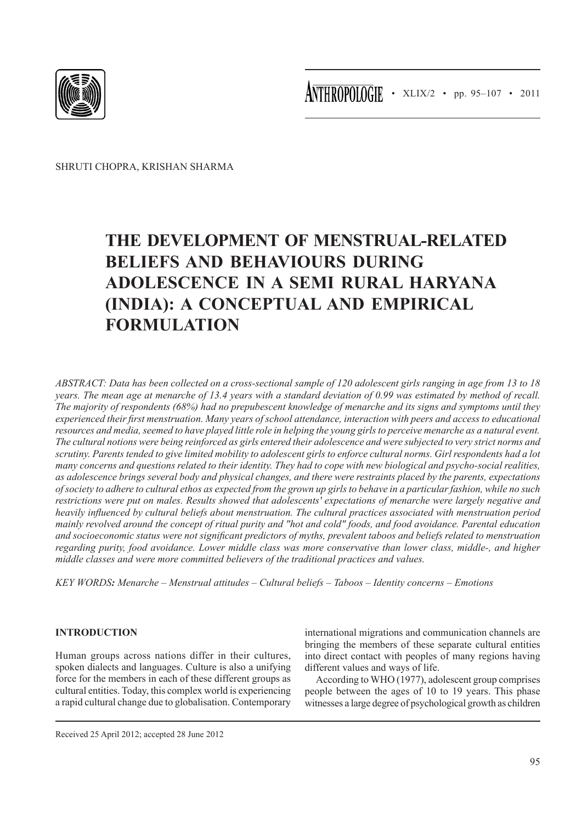

ANTHROPOLOGIE • XLIX/2 • pp. 95-107 • 2011

Shruti Chopra, Krishan Sharma

# **The development of menstrual-related beliefs and behaviours during adolescence in a Semi Rural Haryana (India): a Conceptual and Empirical Formulation**

*ABSTRACT: Data has been collected on a cross-sectional sample of 120 adolescent girls ranging in age from 13 to 18 years. The mean age at menarche of 13.4 years with a standard deviation of 0.99 was estimated by method of recall. The majority of respondents (68%) had no prepubescent knowledge of menarche and its signs and symptoms until they experienced their first menstruation. Many years of school attendance, interaction with peers and access to educational resources and media, seemed to have played little role in helping the young girls to perceive menarche as a natural event. The cultural notions were being reinforced as girls entered their adolescence and were subjected to very strict norms and scrutiny. Parents tended to give limited mobility to adolescent girls to enforce cultural norms. Girl respondents had a lot many concerns and questions related to their identity. They had to cope with new biological and psycho-social realities, as adolescence brings several body and physical changes, and there were restraints placed by the parents, expectations of society to adhere to cultural ethos as expected from the grown up girls to behave in a particular fashion, while no such restrictions were put on males. Results showed that adolescents' expectations of menarche were largely negative and heavily influenced by cultural beliefs about menstruation. The cultural practices associated with menstruation period mainly revolved around the concept of ritual purity and "hot and cold" foods, and food avoidance. Parental education and socioeconomic status were not significant predictors of myths, prevalent taboos and beliefs related to menstruation regarding purity, food avoidance. Lower middle class was more conservative than lower class, middle-, and higher middle classes and were more committed believers of the traditional practices and values.*

*Key words: Menarche – Menstrual attitudes – Cultural beliefs – Taboos – Identity concerns – Emotions*

# **INTRODUCTION**

Human groups across nations differ in their cultures, spoken dialects and languages. Culture is also a unifying force for the members in each of these different groups as cultural entities. Today, this complex world is experiencing a rapid cultural change due to globalisation. Contemporary

international migrations and communication channels are bringing the members of these separate cultural entities into direct contact with peoples of many regions having different values and ways of life.

According to WHO (1977), adolescent group comprises people between the ages of 10 to 19 years. This phase witnesses a large degree of psychological growth as children

Received 25 April 2012; accepted 28 June 2012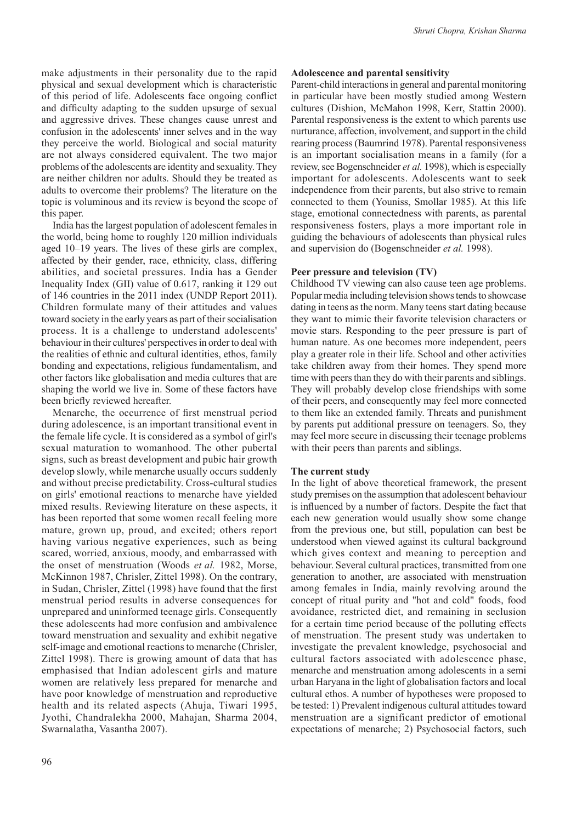make adjustments in their personality due to the rapid physical and sexual development which is characteristic of this period of life. Adolescents face ongoing conflict and difficulty adapting to the sudden upsurge of sexual and aggressive drives. These changes cause unrest and confusion in the adolescents' inner selves and in the way they perceive the world. Biological and social maturity are not always considered equivalent. The two major problems of the adolescents are identity and sexuality. They are neither children nor adults. Should they be treated as adults to overcome their problems? The literature on the topic is voluminous and its review is beyond the scope of this paper.

India has the largest population of adolescent females in the world, being home to roughly 120 million individuals aged 10–19 years. The lives of these girls are complex, affected by their gender, race, ethnicity, class, differing abilities, and societal pressures. India has a Gender Inequality Index (GII) value of 0.617, ranking it 129 out of 146 countries in the 2011 index (UNDP Report 2011). Children formulate many of their attitudes and values toward society in the early years as part of their socialisation process. It is a challenge to understand adolescents' behaviour in their cultures' perspectives in order to deal with the realities of ethnic and cultural identities, ethos, family bonding and expectations, religious fundamentalism, and other factors like globalisation and media cultures that are shaping the world we live in. Some of these factors have been briefly reviewed hereafter.

Menarche, the occurrence of first menstrual period during adolescence, is an important transitional event in the female life cycle. It is considered as a symbol of girl's sexual maturation to womanhood. The other pubertal signs, such as breast development and pubic hair growth develop slowly, while menarche usually occurs suddenly and without precise predictability. Cross-cultural studies on girls' emotional reactions to menarche have yielded mixed results. Reviewing literature on these aspects, it has been reported that some women recall feeling more mature, grown up, proud, and excited; others report having various negative experiences, such as being scared, worried, anxious, moody, and embarrassed with the onset of menstruation (Woods *et al.* 1982, Morse, McKinnon 1987, Chrisler, Zittel 1998). On the contrary, in Sudan, Chrisler, Zittel (1998) have found that the first menstrual period results in adverse consequences for unprepared and uninformed teenage girls. Consequently these adolescents had more confusion and ambivalence toward menstruation and sexuality and exhibit negative self-image and emotional reactions to menarche (Chrisler, Zittel 1998). There is growing amount of data that has emphasised that Indian adolescent girls and mature women are relatively less prepared for menarche and have poor knowledge of menstruation and reproductive health and its related aspects (Ahuja, Tiwari 1995, Jyothi, Chandralekha 2000, Mahajan, Sharma 2004, Swarnalatha, Vasantha 2007).

# **Adolescence and parental sensitivity**

Parent-child interactions in general and parental monitoring in particular have been mostly studied among Western cultures (Dishion, McMahon 1998, Kerr, Stattin 2000). Parental responsiveness is the extent to which parents use nurturance, affection, involvement, and support in the child rearing process (Baumrind 1978). Parental responsiveness is an important socialisation means in a family (for a review, see Bogenschneider *et al.* 1998), which is especially important for adolescents. Adolescents want to seek independence from their parents, but also strive to remain connected to them (Youniss, Smollar 1985). At this life stage, emotional connectedness with parents, as parental responsiveness fosters, plays a more important role in guiding the behaviours of adolescents than physical rules and supervision do (Bogenschneider *et al.* 1998).

## **Peer pressure and television (TV)**

Childhood TV viewing can also cause teen age problems. Popular media including television shows tends to showcase dating in teens as the norm. Many teens start dating because they want to mimic their favorite television characters or movie stars. Responding to the peer pressure is part of human nature. As one becomes more independent, peers play a greater role in their life. School and other activities take children away from their homes. They spend more time with peers than they do with their parents and siblings. They will probably develop close friendships with some of their peers, and consequently may feel more connected to them like an extended family. Threats and punishment by parents put additional pressure on teenagers. So, they may feel more secure in discussing their teenage problems with their peers than parents and siblings.

#### **The current study**

In the light of above theoretical framework, the present study premises on the assumption that adolescent behaviour is influenced by a number of factors. Despite the fact that each new generation would usually show some change from the previous one, but still, population can best be understood when viewed against its cultural background which gives context and meaning to perception and behaviour. Several cultural practices, transmitted from one generation to another, are associated with menstruation among females in India, mainly revolving around the concept of ritual purity and "hot and cold" foods, food avoidance, restricted diet, and remaining in seclusion for a certain time period because of the polluting effects of menstruation. The present study was undertaken to investigate the prevalent knowledge, psychosocial and cultural factors associated with adolescence phase, menarche and menstruation among adolescents in a semi urban Haryana in the light of globalisation factors and local cultural ethos. A number of hypotheses were proposed to be tested: 1) Prevalent indigenous cultural attitudes toward menstruation are a significant predictor of emotional expectations of menarche; 2) Psychosocial factors, such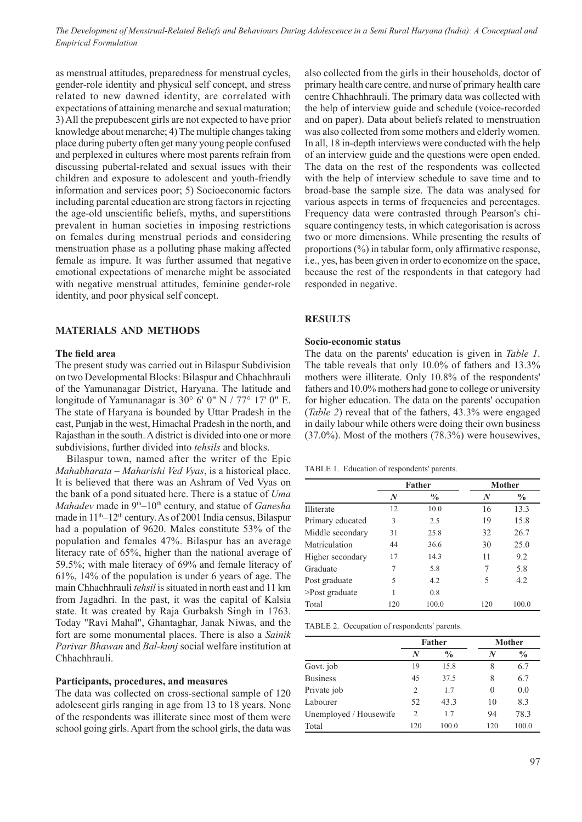as menstrual attitudes, preparedness for menstrual cycles, gender-role identity and physical self concept, and stress related to new dawned identity, are correlated with expectations of attaining menarche and sexual maturation; 3) All the prepubescent girls are not expected to have prior knowledge about menarche; 4) The multiple changes taking place during puberty often get many young people confused and perplexed in cultures where most parents refrain from discussing pubertal-related and sexual issues with their children and exposure to adolescent and youth-friendly information and services poor; 5) Socioeconomic factors including parental education are strong factors in rejecting the age-old unscientific beliefs, myths, and superstitions prevalent in human societies in imposing restrictions on females during menstrual periods and considering menstruation phase as a polluting phase making affected female as impure. It was further assumed that negative emotional expectations of menarche might be associated with negative menstrual attitudes, feminine gender-role identity, and poor physical self concept.

#### **MATERIALS AND METHODS**

#### **The field area**

The present study was carried out in Bilaspur Subdivision on two Developmental Blocks: Bilaspur and Chhachhrauli of the Yamunanagar District, Haryana. The latitude and longitude of Yamunanagar is 30° 6' 0" N / 77° 17' 0" E. The state of Haryana is bounded by Uttar Pradesh in the east, Punjab in the west, Himachal Pradesh in the north, and Rajasthan in the south. A district is divided into one or more subdivisions, further divided into *tehsils* and blocks.

Bilaspur town, named after the writer of the Epic *Mahabharata* – *Maharishi Ved Vyas*, is a historical place. It is believed that there was an Ashram of Ved Vyas on the bank of a pond situated here. There is a statue of *Uma Mahadev* made in 9<sup>th</sup>–10<sup>th</sup> century, and statue of *Ganesha* made in  $11<sup>th</sup>-12<sup>th</sup>$  century. As of 2001 India census, Bilaspur had a population of 9620. Males constitute 53% of the population and females 47%. Bilaspur has an average literacy rate of 65%, higher than the national average of 59.5%; with male literacy of 69% and female literacy of 61%, 14% of the population is under 6 years of age. The main Chhachhrauli *tehsil* is situated in north east and 11 km from Jagadhri. In the past, it was the capital of Kalsia state. It was created by Raja Gurbaksh Singh in 1763. Today "Ravi Mahal", Ghantaghar, Janak Niwas, and the fort are some monumental places. There is also a *Sainik Parivar Bhawan* and *Bal-kunj* social welfare institution at Chhachhrauli.

### **Participants, procedures, and measures**

The data was collected on cross-sectional sample of 120 adolescent girls ranging in age from 13 to 18 years. None of the respondents was illiterate since most of them were school going girls. Apart from the school girls, the data was also collected from the girls in their households, doctor of primary health care centre, and nurse of primary health care centre Chhachhrauli. The primary data was collected with the help of interview guide and schedule (voice-recorded and on paper). Data about beliefs related to menstruation was also collected from some mothers and elderly women. In all, 18 in-depth interviews were conducted with the help of an interview guide and the questions were open ended. The data on the rest of the respondents was collected with the help of interview schedule to save time and to broad-base the sample size. The data was analysed for various aspects in terms of frequencies and percentages. Frequency data were contrasted through Pearson's chisquare contingency tests, in which categorisation is across two or more dimensions. While presenting the results of proportions (%) in tabular form, only affirmative response, i.e., yes, has been given in order to economize on the space, because the rest of the respondents in that category had responded in negative.

# **RESULTS**

#### **Socio-economic status**

The data on the parents' education is given in *Table 1*. The table reveals that only 10.0% of fathers and 13.3% mothers were illiterate. Only 10.8% of the respondents' fathers and 10.0% mothers had gone to college or university for higher education. The data on the parents' occupation (*Table 2*) reveal that of the fathers, 43.3% were engaged in daily labour while others were doing their own business (37.0%). Most of the mothers (78.3%) were housewives,

Table 1. Education of respondents' parents.

|                   |     | Father        |     | <b>Mother</b> |
|-------------------|-----|---------------|-----|---------------|
|                   | N   | $\frac{0}{0}$ | N   | $\frac{0}{0}$ |
| <b>Illiterate</b> | 12  | 10.0          | 16  | 13.3          |
| Primary educated  | 3   | 2.5           | 19  | 15.8          |
| Middle secondary  | 31  | 25.8          | 32  | 26.7          |
| Matriculation     | 44  | 36.6          | 30  | 25.0          |
| Higher secondary  | 17  | 14.3          | 11  | 9.2           |
| Graduate          | 7   | 5.8           | 7   | 5.8           |
| Post graduate     | 5   | 4.2           | 5   | 4.2           |
| >Post graduate    | 1   | 0.8           |     |               |
| Total             | 120 | 100.0         | 120 | 100.0         |

Table 2. Occupation of respondents' parents.

|                        |     | Father        |     | Mother        |
|------------------------|-----|---------------|-----|---------------|
|                        | N   | $\frac{0}{0}$ | N   | $\frac{0}{0}$ |
| Govt. job              | 19  | 15.8          | 8   | 6.7           |
| <b>Business</b>        | 45  | 37.5          | 8   | 6.7           |
| Private job            | 2   | 1.7           | 0   | 0.0           |
| Labourer               | 52  | 43.3          | 10  | 8.3           |
| Unemployed / Housewife | 2   | 1.7           | 94  | 78.3          |
| Total                  | 120 | 100.0         | 120 | 100.0         |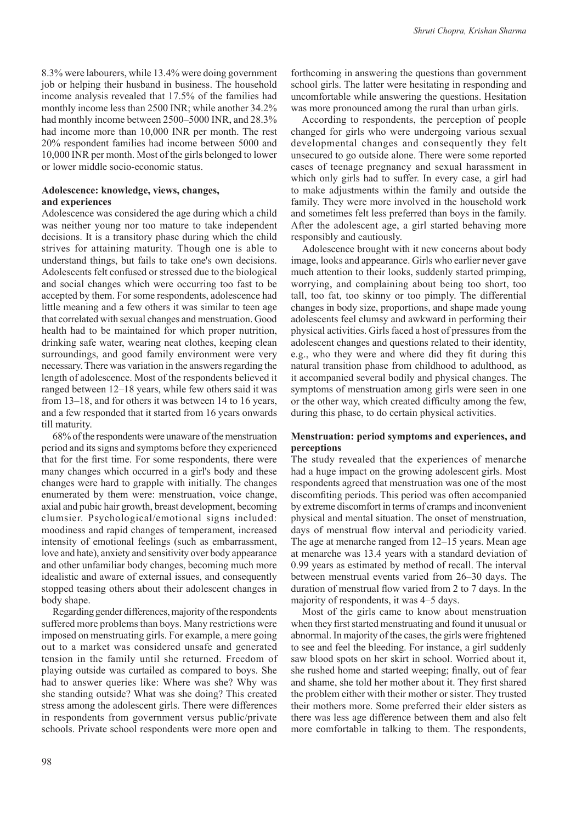8.3% were labourers, while 13.4% were doing government job or helping their husband in business. The household income analysis revealed that 17.5% of the families had monthly income less than 2500 INR; while another 34.2% had monthly income between 2500–5000 INR, and 28.3% had income more than 10,000 INR per month. The rest 20% respondent families had income between 5000 and 10,000 INR per month. Most of the girls belonged to lower or lower middle socio-economic status.

# **Adolescence: knowledge, views, changes, and experiences**

Adolescence was considered the age during which a child was neither young nor too mature to take independent decisions. It is a transitory phase during which the child strives for attaining maturity. Though one is able to understand things, but fails to take one's own decisions. Adolescents felt confused or stressed due to the biological and social changes which were occurring too fast to be accepted by them. For some respondents, adolescence had little meaning and a few others it was similar to teen age that correlated with sexual changes and menstruation. Good health had to be maintained for which proper nutrition, drinking safe water, wearing neat clothes, keeping clean surroundings, and good family environment were very necessary. There was variation in the answers regarding the length of adolescence. Most of the respondents believed it ranged between 12–18 years, while few others said it was from 13–18, and for others it was between 14 to 16 years, and a few responded that it started from 16 years onwards till maturity.

68% of the respondents were unaware of the menstruation period and its signs and symptoms before they experienced that for the first time. For some respondents, there were many changes which occurred in a girl's body and these changes were hard to grapple with initially. The changes enumerated by them were: menstruation, voice change, axial and pubic hair growth, breast development, becoming clumsier. Psychological/emotional signs included: moodiness and rapid changes of temperament, increased intensity of emotional feelings (such as embarrassment, love and hate), anxiety and sensitivity over body appearance and other unfamiliar body changes, becoming much more idealistic and aware of external issues, and consequently stopped teasing others about their adolescent changes in body shape.

Regarding gender differences, majority of the respondents suffered more problems than boys. Many restrictions were imposed on menstruating girls. For example, a mere going out to a market was considered unsafe and generated tension in the family until she returned. Freedom of playing outside was curtailed as compared to boys. She had to answer queries like: Where was she? Why was she standing outside? What was she doing? This created stress among the adolescent girls. There were differences in respondents from government versus public/private schools. Private school respondents were more open and

forthcoming in answering the questions than government school girls. The latter were hesitating in responding and uncomfortable while answering the questions. Hesitation was more pronounced among the rural than urban girls.

According to respondents, the perception of people changed for girls who were undergoing various sexual developmental changes and consequently they felt unsecured to go outside alone. There were some reported cases of teenage pregnancy and sexual harassment in which only girls had to suffer. In every case, a girl had to make adjustments within the family and outside the family. They were more involved in the household work and sometimes felt less preferred than boys in the family. After the adolescent age, a girl started behaving more responsibly and cautiously.

Adolescence brought with it new concerns about body image, looks and appearance. Girls who earlier never gave much attention to their looks, suddenly started primping, worrying, and complaining about being too short, too tall, too fat, too skinny or too pimply. The differential changes in body size, proportions, and shape made young adolescents feel clumsy and awkward in performing their physical activities. Girls faced a host of pressures from the adolescent changes and questions related to their identity, e.g., who they were and where did they fit during this natural transition phase from childhood to adulthood, as it accompanied several bodily and physical changes. The symptoms of menstruation among girls were seen in one or the other way, which created difficulty among the few, during this phase, to do certain physical activities.

## **Menstruation: period symptoms and experiences, and perceptions**

The study revealed that the experiences of menarche had a huge impact on the growing adolescent girls. Most respondents agreed that menstruation was one of the most discomfiting periods. This period was often accompanied by extreme discomfort in terms of cramps and inconvenient physical and mental situation. The onset of menstruation, days of menstrual flow interval and periodicity varied. The age at menarche ranged from 12–15 years. Mean age at menarche was 13.4 years with a standard deviation of 0.99 years as estimated by method of recall. The interval between menstrual events varied from 26–30 days. The duration of menstrual flow varied from 2 to 7 days. In the majority of respondents, it was 4–5 days.

Most of the girls came to know about menstruation when they first started menstruating and found it unusual or abnormal. In majority of the cases, the girls were frightened to see and feel the bleeding. For instance, a girl suddenly saw blood spots on her skirt in school. Worried about it, she rushed home and started weeping; finally, out of fear and shame, she told her mother about it. They first shared the problem either with their mother or sister. They trusted their mothers more. Some preferred their elder sisters as there was less age difference between them and also felt more comfortable in talking to them. The respondents,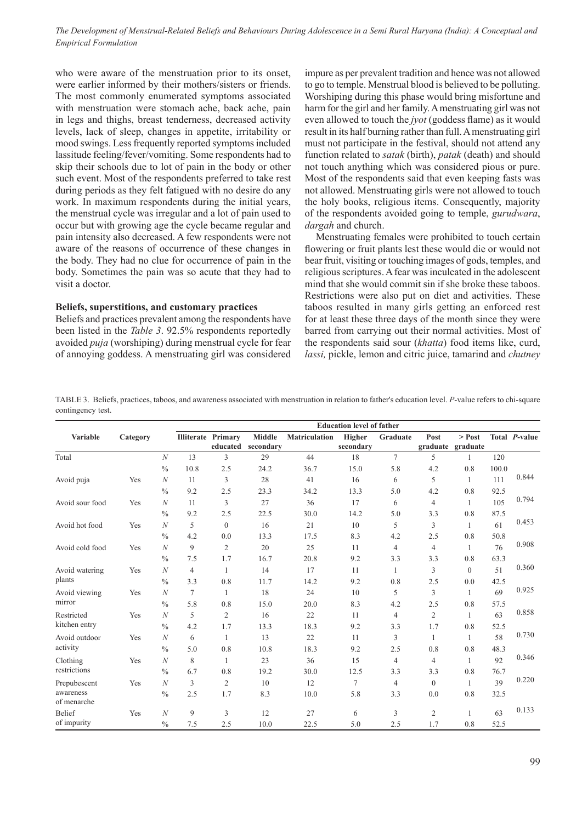who were aware of the menstruation prior to its onset, were earlier informed by their mothers/sisters or friends. The most commonly enumerated symptoms associated with menstruation were stomach ache, back ache, pain in legs and thighs, breast tenderness, decreased activity levels, lack of sleep, changes in appetite, irritability or mood swings. Less frequently reported symptoms included lassitude feeling/fever/vomiting. Some respondents had to skip their schools due to lot of pain in the body or other such event. Most of the respondents preferred to take rest during periods as they felt fatigued with no desire do any work. In maximum respondents during the initial years, the menstrual cycle was irregular and a lot of pain used to occur but with growing age the cycle became regular and pain intensity also decreased. A few respondents were not aware of the reasons of occurrence of these changes in the body. They had no clue for occurrence of pain in the body. Sometimes the pain was so acute that they had to visit a doctor.

#### **Beliefs, superstitions, and customary practices**

Beliefs and practices prevalent among the respondents have been listed in the *Table 3*. 92.5% respondents reportedly avoided *puja* (worshiping) during menstrual cycle for fear of annoying goddess. A menstruating girl was considered impure as per prevalent tradition and hence was not allowed to go to temple. Menstrual blood is believed to be polluting. Worshiping during this phase would bring misfortune and harm for the girl and her family. A menstruating girl was not even allowed to touch the *jyot* (goddess flame) as it would result in its half burning rather than full. A menstruating girl must not participate in the festival, should not attend any function related to *satak* (birth), *patak* (death) and should not touch anything which was considered pious or pure. Most of the respondents said that even keeping fasts was not allowed. Menstruating girls were not allowed to touch the holy books, religious items. Consequently, majority of the respondents avoided going to temple, *gurudwara*, *dargah* and church.

Menstruating females were prohibited to touch certain flowering or fruit plants lest these would die or would not bear fruit, visiting or touching images of gods, temples, and religious scriptures. A fear was inculcated in the adolescent mind that she would commit sin if she broke these taboos. Restrictions were also put on diet and activities. These taboos resulted in many girls getting an enforced rest for at least these three days of the month since they were barred from carrying out their normal activities. Most of the respondents said sour (*khatta*) food items like, curd, *lassi,* pickle, lemon and citric juice, tamarind and *chutney* 

Table 3. Beliefs, practices, taboos, and awareness associated with menstruation in relation to father's education level. *P*-value refers to chi-square contingency test.

|                 |          |                  |        | <b>Education level of father</b> |           |                      |           |                |                  |                   |       |               |  |  |
|-----------------|----------|------------------|--------|----------------------------------|-----------|----------------------|-----------|----------------|------------------|-------------------|-------|---------------|--|--|
| <b>Variable</b> | Category |                  |        | <b>Illiterate Primary</b>        | Middle    | <b>Matriculation</b> | Higher    | Graduate       | Post             | $>$ Post          |       | Total P-value |  |  |
|                 |          |                  |        | educated                         | secondary |                      | secondary |                |                  | graduate graduate |       |               |  |  |
| Total           |          | $\mathcal N$     | 13     | 3                                | 29        | 44                   | 18        | $\overline{7}$ | 5                | 1                 | 120   |               |  |  |
|                 |          | $\frac{0}{0}$    | 10.8   | 2.5                              | 24.2      | 36.7                 | 15.0      | 5.8            | 4.2              | 0.8               | 100.0 |               |  |  |
| Avoid puja      | Yes      | $\boldsymbol{N}$ | 11     | 3                                | 28        | 41                   | 16        | 6              | 5                | 1                 | 111   | 0.844         |  |  |
|                 |          | $\frac{0}{0}$    | 9.2    | 2.5                              | 23.3      | 34.2                 | 13.3      | 5.0            | 4.2              | 0.8               | 92.5  |               |  |  |
| Avoid sour food | Yes      | N                | 11     | 3                                | 27        | 36                   | 17        | 6              | $\overline{4}$   | $\mathbf{1}$      | 105   | 0.794         |  |  |
|                 |          | $\frac{0}{0}$    | 9.2    | 2.5                              | 22.5      | 30.0                 | 14.2      | 5.0            | 3.3              | 0.8               | 87.5  |               |  |  |
| Avoid hot food  | Yes      | $\boldsymbol{N}$ | 5      | $\overline{0}$                   | 16        | 21                   | 10        | 5              | 3                | 1                 | 61    | 0.453         |  |  |
|                 |          | $\frac{0}{0}$    | 4.2    | 0.0                              | 13.3      | 17.5                 | 8.3       | 4.2            | 2.5              | 0.8               | 50.8  |               |  |  |
| Avoid cold food | Yes      | $\mathcal{N}$    | 9      | $\overline{c}$                   | 20        | 25                   | 11        | $\overline{4}$ | $\overline{4}$   | $\mathbf{1}$      | 76    | 0.908         |  |  |
|                 |          | $\frac{0}{0}$    | 7.5    | 1.7                              | 16.7      | 20.8                 | 9.2       | 3.3            | 3.3              | 0.8               | 63.3  |               |  |  |
| Avoid watering  | Yes      | $\mathcal N$     | 4      | 1                                | 14        | 17                   | 11        | 1              | 3                | $\mathbf{0}$      | 51    | 0.360         |  |  |
| plants          |          | $\frac{0}{0}$    | 3.3    | 0.8                              | 11.7      | 14.2                 | 9.2       | 0.8            | 2.5              | 0.0               | 42.5  |               |  |  |
| Avoid viewing   | Yes      | $\mathcal N$     | $\tau$ | 1                                | 18        | 24                   | 10        | 5              | 3                | $\mathbf{1}$      | 69    | 0.925         |  |  |
| mirror          |          | $\frac{0}{0}$    | 5.8    | 0.8                              | 15.0      | 20.0                 | 8.3       | 4.2            | 2.5              | 0.8               | 57.5  |               |  |  |
| Restricted      | Yes      | N                | 5      | $\overline{c}$                   | 16        | 22                   | 11        | $\overline{4}$ | $\overline{c}$   | $\mathbf{1}$      | 63    | 0.858         |  |  |
| kitchen entry   |          | $\frac{0}{0}$    | 4.2    | 1.7                              | 13.3      | 18.3                 | 9.2       | 3.3            | 1.7              | 0.8               | 52.5  |               |  |  |
| Avoid outdoor   | Yes      | $\boldsymbol{N}$ | 6      | 1                                | 13        | 22                   | 11        | 3              | $\mathbf{1}$     | 1                 | 58    | 0.730         |  |  |
| activity        |          | $\frac{0}{0}$    | 5.0    | 0.8                              | 10.8      | 18.3                 | 9.2       | 2.5            | 0.8              | 0.8               | 48.3  |               |  |  |
| Clothing        | Yes      | $\mathcal N$     | 8      | 1                                | 23        | 36                   | 15        | $\overline{4}$ | $\overline{4}$   | $\mathbf{1}$      | 92    | 0.346         |  |  |
| restrictions    |          | $\frac{0}{0}$    | 6.7    | 0.8                              | 19.2      | 30.0                 | 12.5      | 3.3            | 3.3              | 0.8               | 76.7  |               |  |  |
| Prepubescent    | Yes      | N                | 3      | 2                                | 10        | 12                   | 7         | $\overline{4}$ | $\boldsymbol{0}$ | $\mathbf{1}$      | 39    | 0.220         |  |  |
| awareness       |          | $\frac{0}{0}$    | 2.5    | 1.7                              | 8.3       | 10.0                 | 5.8       | 3.3            | 0.0              | 0.8               | 32.5  |               |  |  |
| of menarche     |          |                  |        |                                  |           |                      |           |                |                  |                   |       |               |  |  |
| Belief          | Yes      | $\mathcal N$     | 9      | 3                                | 12        | 27                   | 6         | 3              | 2                | 1                 | 63    | 0.133         |  |  |
| of impurity     |          | $\frac{0}{0}$    | 7.5    | 2.5                              | 10.0      | 22.5                 | 5.0       | 2.5            | 1.7              | 0.8               | 52.5  |               |  |  |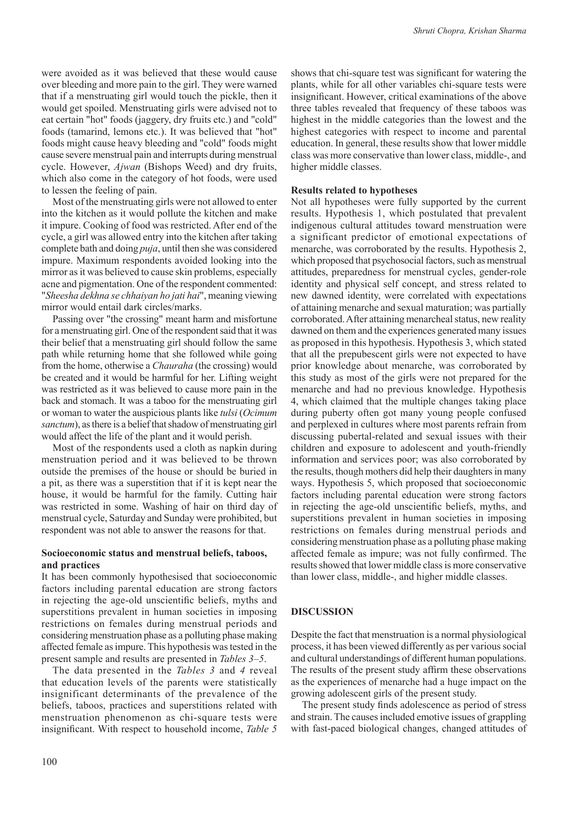were avoided as it was believed that these would cause over bleeding and more pain to the girl. They were warned that if a menstruating girl would touch the pickle, then it would get spoiled. Menstruating girls were advised not to eat certain "hot" foods (jaggery, dry fruits etc.) and "cold" foods (tamarind, lemons etc.). It was believed that "hot" foods might cause heavy bleeding and "cold" foods might cause severe menstrual pain and interrupts during menstrual cycle. However, *Ajwan* (Bishops Weed) and dry fruits, which also come in the category of hot foods, were used to lessen the feeling of pain.

Most of the menstruating girls were not allowed to enter into the kitchen as it would pollute the kitchen and make it impure. Cooking of food was restricted. After end of the cycle, a girl was allowed entry into the kitchen after taking complete bath and doing *puja*, until then she was considered impure. Maximum respondents avoided looking into the mirror as it was believed to cause skin problems, especially acne and pigmentation. One of the respondent commented: "*Sheesha dekhna se chhaiyan ho jati hai*", meaning viewing mirror would entail dark circles/marks.

Passing over "the crossing" meant harm and misfortune for a menstruating girl. One of the respondent said that it was their belief that a menstruating girl should follow the same path while returning home that she followed while going from the home, otherwise a *Chauraha* (the crossing) would be created and it would be harmful for her. Lifting weight was restricted as it was believed to cause more pain in the back and stomach. It was a taboo for the menstruating girl or woman to water the auspicious plants like *tulsi* (*Ocimum sanctum*), as there is a belief that shadow of menstruating girl would affect the life of the plant and it would perish.

Most of the respondents used a cloth as napkin during menstruation period and it was believed to be thrown outside the premises of the house or should be buried in a pit, as there was a superstition that if it is kept near the house, it would be harmful for the family. Cutting hair was restricted in some. Washing of hair on third day of menstrual cycle, Saturday and Sunday were prohibited, but respondent was not able to answer the reasons for that.

# **Socioeconomic status and menstrual beliefs, taboos, and practices**

It has been commonly hypothesised that socioeconomic factors including parental education are strong factors in rejecting the age-old unscientific beliefs, myths and superstitions prevalent in human societies in imposing restrictions on females during menstrual periods and considering menstruation phase as a polluting phase making affected female as impure. This hypothesis was tested in the present sample and results are presented in *Tables 3*–*5*.

The data presented in the *Tables 3* and *4* reveal that education levels of the parents were statistically insignificant determinants of the prevalence of the beliefs, taboos, practices and superstitions related with menstruation phenomenon as chi-square tests were insignificant. With respect to household income, *Table 5*

100

shows that chi-square test was significant for watering the plants, while for all other variables chi-square tests were insignificant. However, critical examinations of the above three tables revealed that frequency of these taboos was highest in the middle categories than the lowest and the highest categories with respect to income and parental education. In general, these results show that lower middle class was more conservative than lower class, middle-, and higher middle classes.

## **Results related to hypotheses**

Not all hypotheses were fully supported by the current results. Hypothesis 1, which postulated that prevalent indigenous cultural attitudes toward menstruation were a significant predictor of emotional expectations of menarche, was corroborated by the results. Hypothesis 2, which proposed that psychosocial factors, such as menstrual attitudes, preparedness for menstrual cycles, gender-role identity and physical self concept, and stress related to new dawned identity, were correlated with expectations of attaining menarche and sexual maturation; was partially corroborated. After attaining menarcheal status, new reality dawned on them and the experiences generated many issues as proposed in this hypothesis. Hypothesis 3, which stated that all the prepubescent girls were not expected to have prior knowledge about menarche, was corroborated by this study as most of the girls were not prepared for the menarche and had no previous knowledge. Hypothesis 4, which claimed that the multiple changes taking place during puberty often got many young people confused and perplexed in cultures where most parents refrain from discussing pubertal-related and sexual issues with their children and exposure to adolescent and youth-friendly information and services poor; was also corroborated by the results, though mothers did help their daughters in many ways. Hypothesis 5, which proposed that socioeconomic factors including parental education were strong factors in rejecting the age-old unscientific beliefs, myths, and superstitions prevalent in human societies in imposing restrictions on females during menstrual periods and considering menstruation phase as a polluting phase making affected female as impure; was not fully confirmed. The results showed that lower middle class is more conservative than lower class, middle-, and higher middle classes.

# **DISCUSSION**

Despite the fact that menstruation is a normal physiological process, it has been viewed differently as per various social and cultural understandings of different human populations. The results of the present study affirm these observations as the experiences of menarche had a huge impact on the growing adolescent girls of the present study.

The present study finds adolescence as period of stress and strain. The causes included emotive issues of grappling with fast-paced biological changes, changed attitudes of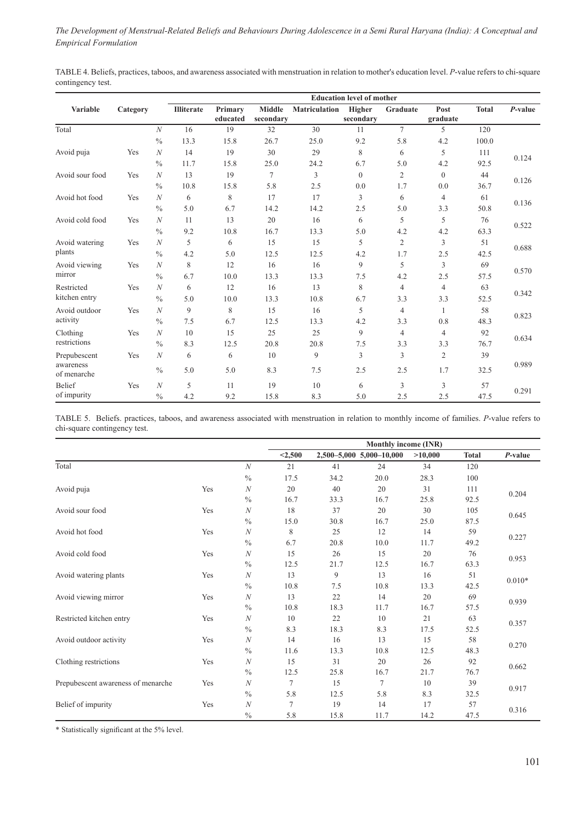Table 4. Beliefs, practices, taboos, and awareness associated with menstruation in relation to mother's education level. *P*-value refers to chi-square contingency test.

|                          |          |                   |      | <b>Education level of mother</b> |                                                    |      |                     |                |                  |              |            |  |
|--------------------------|----------|-------------------|------|----------------------------------|----------------------------------------------------|------|---------------------|----------------|------------------|--------------|------------|--|
| Variable                 | Category | <b>Illiterate</b> |      | Primary<br>educated              | <b>Middle</b><br><b>Matriculation</b><br>secondary |      | Higher<br>secondary | Graduate       | Post<br>graduate | <b>Total</b> | $P$ -value |  |
| Total                    |          | $\mathcal N$      | 16   | 19                               | 32                                                 | 30   | 11                  | $\overline{7}$ | 5                | 120          |            |  |
|                          |          | $\frac{0}{0}$     | 13.3 | 15.8                             | 26.7                                               | 25.0 | 9.2                 | 5.8            | 4.2              | 100.0        |            |  |
| Avoid puja               | Yes      | $\mathcal{N}$     | 14   | 19                               | 30                                                 | 29   | 8                   | 6              | 5                | 111          | 0.124      |  |
|                          |          | $\frac{0}{0}$     | 11.7 | 15.8                             | 25.0                                               | 24.2 | 6.7                 | 5.0            | 4.2              | 92.5         |            |  |
| Avoid sour food          | Yes      | $\mathcal{N}$     | 13   | 19                               | $\tau$                                             | 3    | $\theta$            | $\mathfrak{2}$ | $\mathbf{0}$     | 44           |            |  |
|                          |          | $\frac{0}{0}$     | 10.8 | 15.8                             | 5.8                                                | 2.5  | 0.0                 | 1.7            | 0.0              | 36.7         | 0.126      |  |
| Avoid hot food           | Yes      | $\mathcal{N}$     | 6    | 8                                | 17                                                 | 17   | 3                   | 6              | $\overline{4}$   | 61           |            |  |
|                          |          | $\frac{0}{0}$     | 5.0  | 6.7                              | 14.2                                               | 14.2 | 2.5                 | 5.0            | 3.3              | 50.8         | 0.136      |  |
| Avoid cold food          | Yes      | $\mathcal{N}$     | 11   | 13                               | 20                                                 | 16   | 6                   | 5              | 5                | 76           |            |  |
|                          |          | $\frac{0}{0}$     | 9.2  | 10.8                             | 16.7                                               | 13.3 | 5.0                 | 4.2            | 4.2              | 63.3         | 0.522      |  |
| Avoid watering           | Yes      | $\mathcal{N}$     | 5    | 6                                | 15                                                 | 15   | 5                   | $\mathfrak{2}$ | 3                | 51           |            |  |
| plants                   |          | $\frac{0}{0}$     | 4.2  | 5.0                              | 12.5                                               | 12.5 | 4.2                 | 1.7            | 2.5              | 42.5         | 0.688      |  |
| Avoid viewing            | Yes      | $\overline{N}$    | 8    | 12                               | 16                                                 | 16   | 9                   | 5              | 3                | 69           |            |  |
| mirror                   |          | $\frac{0}{0}$     | 6.7  | 10.0                             | 13.3                                               | 13.3 | 7.5                 | 4.2            | 2.5              | 57.5         | 0.570      |  |
| Restricted               | Yes      | $\overline{N}$    | 6    | 12                               | 16                                                 | 13   | 8                   | $\overline{4}$ | $\overline{4}$   | 63           |            |  |
| kitchen entry            |          | $\frac{0}{0}$     | 5.0  | 10.0                             | 13.3                                               | 10.8 | 6.7                 | 3.3            | 3.3              | 52.5         | 0.342      |  |
| Avoid outdoor            | Yes      | $\mathcal{N}$     | 9    | 8                                | 15                                                 | 16   | 5                   | $\overline{4}$ | $\mathbf{1}$     | 58           |            |  |
| activity                 |          | $\frac{0}{0}$     | 7.5  | 6.7                              | 12.5                                               | 13.3 | 4.2                 | 3.3            | 0.8              | 48.3         | 0.823      |  |
| Clothing                 | Yes      | $\boldsymbol{N}$  | 10   | 15                               | 25                                                 | 25   | 9                   | $\overline{4}$ | $\overline{4}$   | 92           |            |  |
| restrictions             |          | $\frac{0}{0}$     | 8.3  | 12.5                             | 20.8                                               | 20.8 | 7.5                 | 3.3            | 3.3              | 76.7         | 0.634      |  |
| Prepubescent             | Yes      | $\boldsymbol{N}$  | 6    | 6                                | 10                                                 | 9    | 3                   | 3              | 2                | 39           |            |  |
| awareness<br>of menarche |          | $\frac{0}{0}$     | 5.0  | 5.0                              | 8.3                                                | 7.5  | 2.5                 | 2.5            | 1.7              | 32.5         | 0.989      |  |
| <b>Belief</b>            | Yes      | $\mathcal{N}$     | 5    | 11                               | 19                                                 | 10   | 6                   | 3              | 3                | 57           |            |  |
| of impurity              |          | $\frac{0}{0}$     | 4.2  | 9.2                              | 15.8                                               | 8.3  | 5.0                 | 2.5            | 2.5              | 47.5         | 0.291      |  |

Table 5. Beliefs. practices, taboos, and awareness associated with menstruation in relation to monthly income of families. *P*-value refers to chi-square contingency test.

|                                    |     |                  | Monthly income (INR) |      |                            |         |              |            |
|------------------------------------|-----|------------------|----------------------|------|----------------------------|---------|--------------|------------|
|                                    |     |                  | < 2,500              |      | $2,500-5,000$ 5,000-10,000 | >10,000 | <b>Total</b> | $P$ -value |
| Total                              |     | $\mathcal N$     | 21                   | 41   | 24                         | 34      | 120          |            |
|                                    |     | $\frac{0}{0}$    | 17.5                 | 34.2 | 20.0                       | 28.3    | 100          |            |
| Avoid puja                         | Yes | $\boldsymbol{N}$ | 20                   | 40   | 20                         | 31      | 111          |            |
|                                    |     | $\frac{0}{0}$    | 16.7                 | 33.3 | 16.7                       | 25.8    | 92.5         | 0.204      |
| Avoid sour food                    | Yes | $\boldsymbol{N}$ | 18                   | 37   | 20                         | 30      | 105          |            |
|                                    |     | $\frac{0}{0}$    | 15.0                 | 30.8 | 16.7                       | 25.0    | 87.5         | 0.645      |
| Avoid hot food                     | Yes | $\boldsymbol{N}$ | 8                    | 25   | 12                         | 14      | 59           |            |
|                                    |     | $\frac{0}{0}$    | 6.7                  | 20.8 | 10.0                       | 11.7    | 49.2         | 0.227      |
| Avoid cold food                    | Yes | $\boldsymbol{N}$ | 15                   | 26   | 15                         | 20      | 76           |            |
|                                    |     | $\frac{0}{0}$    | 12.5                 | 21.7 | 12.5                       | 16.7    | 63.3         | 0.953      |
| Avoid watering plants              | Yes | $\boldsymbol{N}$ | 13                   | 9    | 13                         | 16      | 51           | $0.010*$   |
|                                    |     | $\%$             | 10.8                 | 7.5  | 10.8                       | 13.3    | 42.5         |            |
| Avoid viewing mirror               | Yes | $\boldsymbol{N}$ | 13                   | 22   | 14                         | 20      | 69           | 0.939      |
|                                    |     | $\frac{0}{0}$    | 10.8                 | 18.3 | 11.7                       | 16.7    | 57.5         |            |
| Restricted kitchen entry           | Yes | $\overline{N}$   | 10                   | 22   | 10                         | 21      | 63           | 0.357      |
|                                    |     | $\frac{0}{0}$    | 8.3                  | 18.3 | 8.3                        | 17.5    | 52.5         |            |
| Avoid outdoor activity             | Yes | $\boldsymbol{N}$ | 14                   | 16   | 13                         | 15      | 58           | 0.270      |
|                                    |     | $\frac{0}{0}$    | 11.6                 | 13.3 | 10.8                       | 12.5    | 48.3         |            |
| Clothing restrictions              | Yes | $\boldsymbol{N}$ | 15                   | 31   | 20                         | 26      | 92           | 0.662      |
|                                    |     | $\frac{0}{0}$    | 12.5                 | 25.8 | 16.7                       | 21.7    | 76.7         |            |
| Prepubescent awareness of menarche | Yes | $\boldsymbol{N}$ | $\tau$               | 15   | 7                          | 10      | 39           | 0.917      |
|                                    |     | $\frac{0}{0}$    | 5.8                  | 12.5 | 5.8                        | 8.3     | 32.5         |            |
| Belief of impurity                 | Yes | $\overline{N}$   | $\tau$               | 19   | 14                         | 17      | 57           | 0.316      |
|                                    |     | $\frac{0}{0}$    | 5.8                  | 15.8 | 11.7                       | 14.2    | 47.5         |            |

\* Statistically significant at the 5% level.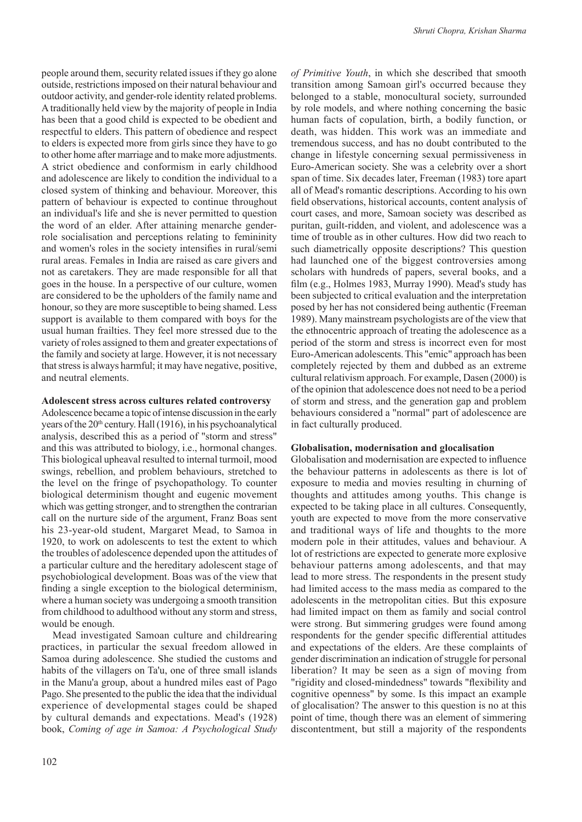people around them, security related issues if they go alone outside, restrictions imposed on their natural behaviour and outdoor activity, and gender-role identity related problems. A traditionally held view by the majority of people in India has been that a good child is expected to be obedient and respectful to elders. This pattern of obedience and respect to elders is expected more from girls since they have to go to other home after marriage and to make more adjustments. A strict obedience and conformism in early childhood and adolescence are likely to condition the individual to a closed system of thinking and behaviour. Moreover, this pattern of behaviour is expected to continue throughout an individual's life and she is never permitted to question the word of an elder. After attaining menarche genderrole socialisation and perceptions relating to femininity and women's roles in the society intensifies in rural/semi rural areas. Females in India are raised as care givers and not as caretakers. They are made responsible for all that goes in the house. In a perspective of our culture, women are considered to be the upholders of the family name and honour, so they are more susceptible to being shamed. Less support is available to them compared with boys for the usual human frailties. They feel more stressed due to the variety of roles assigned to them and greater expectations of the family and society at large. However, it is not necessary that stress is always harmful; it may have negative, positive, and neutral elements.

### **Adolescent stress across cultures related controversy**

Adolescence became a topic of intense discussion in the early years of the  $20<sup>th</sup>$  century. Hall (1916), in his psychoanalytical analysis, described this as a period of "storm and stress" and this was attributed to biology, i.e., hormonal changes. This biological upheaval resulted to internal turmoil, mood swings, rebellion, and problem behaviours, stretched to the level on the fringe of psychopathology. To counter biological determinism thought and eugenic movement which was getting stronger, and to strengthen the contrarian call on the nurture side of the argument, Franz Boas sent his 23-year-old student, Margaret Mead, to Samoa in 1920, to work on adolescents to test the extent to which the troubles of adolescence depended upon the attitudes of a particular culture and the hereditary adolescent stage of psychobiological development. Boas was of the view that finding a single exception to the biological determinism, where a human society was undergoing a smooth transition from childhood to adulthood without any storm and stress, would be enough.

Mead investigated Samoan culture and childrearing practices, in particular the sexual freedom allowed in Samoa during adolescence. She studied the customs and habits of the villagers on Ta'u, one of three small islands in the Manu'a group, about a hundred miles east of Pago Pago. She presented to the public the idea that the individual experience of developmental stages could be shaped by cultural demands and expectations. Mead's (1928) book, *Coming of age in Samoa: A Psychological Study* 

*of Primitive Youth*, in which she described that smooth transition among Samoan girl's occurred because they belonged to a stable, monocultural society, surrounded by role models, and where nothing concerning the basic human facts of copulation, birth, a bodily function, or death, was hidden. This work was an immediate and tremendous success, and has no doubt contributed to the change in lifestyle concerning sexual permissiveness in Euro-American society. She was a celebrity over a short span of time. Six decades later, Freeman (1983) tore apart all of Mead's romantic descriptions. According to his own field observations, historical accounts, content analysis of court cases, and more, Samoan society was described as puritan, guilt-ridden, and violent, and adolescence was a time of trouble as in other cultures. How did two reach to such diametrically opposite descriptions? This question had launched one of the biggest controversies among scholars with hundreds of papers, several books, and a film (e.g., Holmes 1983, Murray 1990). Mead's study has been subjected to critical evaluation and the interpretation posed by her has not considered being authentic (Freeman 1989). Many mainstream psychologists are of the view that the ethnocentric approach of treating the adolescence as a period of the storm and stress is incorrect even for most Euro-American adolescents. This "emic" approach has been completely rejected by them and dubbed as an extreme cultural relativism approach. For example, Dasen (2000) is of the opinion that adolescence does not need to be a period of storm and stress, and the generation gap and problem behaviours considered a "normal" part of adolescence are in fact culturally produced.

#### **Globalisation, modernisation and glocalisation**

Globalisation and modernisation are expected to influence the behaviour patterns in adolescents as there is lot of exposure to media and movies resulting in churning of thoughts and attitudes among youths. This change is expected to be taking place in all cultures. Consequently, youth are expected to move from the more conservative and traditional ways of life and thoughts to the more modern pole in their attitudes, values and behaviour. A lot of restrictions are expected to generate more explosive behaviour patterns among adolescents, and that may lead to more stress. The respondents in the present study had limited access to the mass media as compared to the adolescents in the metropolitan cities. But this exposure had limited impact on them as family and social control were strong. But simmering grudges were found among respondents for the gender specific differential attitudes and expectations of the elders. Are these complaints of gender discrimination an indication of struggle for personal liberation? It may be seen as a sign of moving from "rigidity and closed-mindedness" towards "flexibility and cognitive openness" by some. Is this impact an example of glocalisation? The answer to this question is no at this point of time, though there was an element of simmering discontentment, but still a majority of the respondents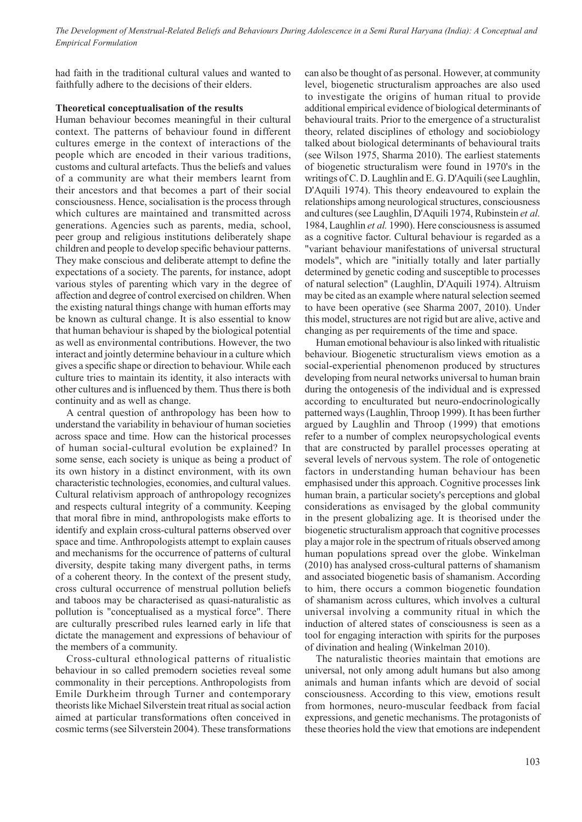had faith in the traditional cultural values and wanted to faithfully adhere to the decisions of their elders.

# **Theoretical conceptualisation of the results**

Human behaviour becomes meaningful in their cultural context. The patterns of behaviour found in different cultures emerge in the context of interactions of the people which are encoded in their various traditions, customs and cultural artefacts. Thus the beliefs and values of a community are what their members learnt from their ancestors and that becomes a part of their social consciousness. Hence, socialisation is the process through which cultures are maintained and transmitted across generations. Agencies such as parents, media, school, peer group and religious institutions deliberately shape children and people to develop specific behaviour patterns. They make conscious and deliberate attempt to define the expectations of a society. The parents, for instance, adopt various styles of parenting which vary in the degree of affection and degree of control exercised on children. When the existing natural things change with human efforts may be known as cultural change. It is also essential to know that human behaviour is shaped by the biological potential as well as environmental contributions. However, the two interact and jointly determine behaviour in a culture which gives a specific shape or direction to behaviour. While each culture tries to maintain its identity, it also interacts with other cultures and is influenced by them. Thus there is both continuity and as well as change.

A central question of anthropology has been how to understand the variability in behaviour of human societies across space and time. How can the historical processes of human social-cultural evolution be explained? In some sense, each society is unique as being a product of its own history in a distinct environment, with its own characteristic technologies, economies, and cultural values. Cultural relativism approach of anthropology recognizes and respects cultural integrity of a community. Keeping that moral fibre in mind, anthropologists make efforts to identify and explain cross-cultural patterns observed over space and time. Anthropologists attempt to explain causes and mechanisms for the occurrence of patterns of cultural diversity, despite taking many divergent paths, in terms of a coherent theory. In the context of the present study, cross cultural occurrence of menstrual pollution beliefs and taboos may be characterised as quasi-naturalistic as pollution is "conceptualised as a mystical force". There are culturally prescribed rules learned early in life that dictate the management and expressions of behaviour of the members of a community.

Cross-cultural ethnological patterns of ritualistic behaviour in so called premodern societies reveal some commonality in their perceptions. Anthropologists from Emile Durkheim through Turner and contemporary theorists like Michael Silverstein treat ritual as social action aimed at particular transformations often conceived in cosmic terms (see Silverstein 2004). These transformations

can also be thought of as personal. However, at community level, biogenetic structuralism approaches are also used to investigate the origins of human ritual to provide additional empirical evidence of biological determinants of behavioural traits. Prior to the emergence of a structuralist theory, related disciplines of ethology and sociobiology talked about biological determinants of behavioural traits (see Wilson 1975, Sharma 2010). The earliest statements of biogenetic structuralism were found in 1970's in the writings of C. D. Laughlin and E. G. D'Aquili (see Laughlin, D'Aquili 1974). This theory endeavoured to explain the relationships among neurological structures, consciousness and cultures (see Laughlin, D'Aquili 1974, Rubinstein *et al.* 1984, Laughlin *et al.* 1990). Here consciousness is assumed as a cognitive factor. Cultural behaviour is regarded as a "variant behaviour manifestations of universal structural models", which are "initially totally and later partially determined by genetic coding and susceptible to processes of natural selection" (Laughlin, D'Aquili 1974). Altruism may be cited as an example where natural selection seemed to have been operative (see Sharma 2007, 2010). Under this model, structures are not rigid but are alive, active and changing as per requirements of the time and space.

Human emotional behaviour is also linked with ritualistic behaviour. Biogenetic structuralism views emotion as a social-experiential phenomenon produced by structures developing from neural networks universal to human brain during the ontogenesis of the individual and is expressed according to enculturated but neuro-endocrinologically patterned ways (Laughlin, Throop 1999). It has been further argued by Laughlin and Throop (1999) that emotions refer to a number of complex neuropsychological events that are constructed by parallel processes operating at several levels of nervous system. The role of ontogenetic factors in understanding human behaviour has been emphasised under this approach. Cognitive processes link human brain, a particular society's perceptions and global considerations as envisaged by the global community in the present globalizing age. It is theorised under the biogenetic structuralism approach that cognitive processes play a major role in the spectrum of rituals observed among human populations spread over the globe. Winkelman (2010) has analysed cross-cultural patterns of shamanism and associated biogenetic basis of shamanism. According to him, there occurs a common biogenetic foundation of shamanism across cultures, which involves a cultural universal involving a community ritual in which the induction of altered states of consciousness is seen as a tool for engaging interaction with spirits for the purposes of divination and healing (Winkelman 2010).

The naturalistic theories maintain that emotions are universal, not only among adult humans but also among animals and human infants which are devoid of social consciousness. According to this view, emotions result from hormones, neuro-muscular feedback from facial expressions, and genetic mechanisms. The protagonists of these theories hold the view that emotions are independent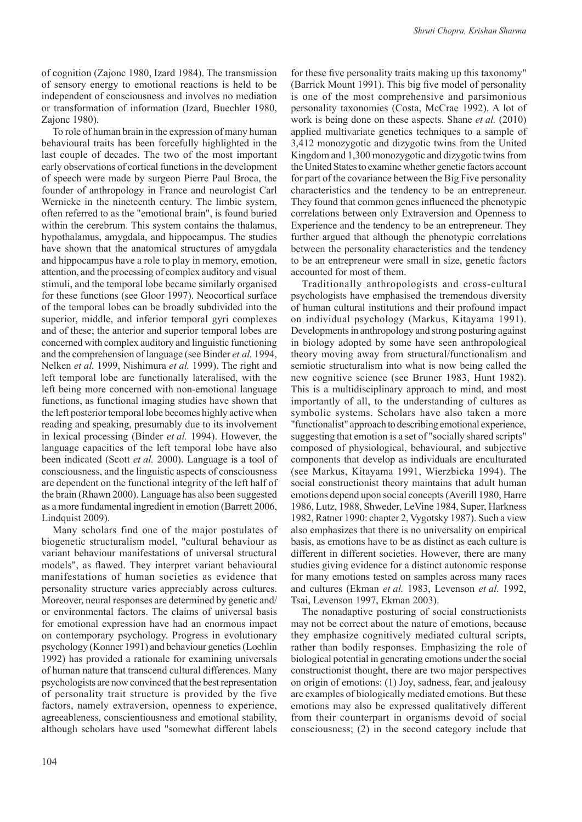of cognition (Zajonc 1980, Izard 1984). The transmission of sensory energy to emotional reactions is held to be independent of consciousness and involves no mediation or transformation of information (Izard, Buechler 1980, Zajonc 1980).

To role of human brain in the expression of many human behavioural traits has been forcefully highlighted in the last couple of decades. The two of the most important early observations of cortical functions in the development of speech were made by surgeon Pierre Paul Broca, the founder of anthropology in France and neurologist Carl Wernicke in the nineteenth century. The limbic system, often referred to as the "emotional brain", is found buried within the cerebrum. This system contains the thalamus, hypothalamus, amygdala, and hippocampus. The studies have shown that the anatomical structures of amygdala and hippocampus have a role to play in memory, emotion, attention, and the processing of complex auditory and visual stimuli, and the temporal lobe became similarly organised for these functions (see Gloor 1997). Neocortical surface of the temporal lobes can be broadly subdivided into the superior, middle, and inferior temporal gyri complexes and of these; the anterior and superior temporal lobes are concerned with complex auditory and linguistic functioning and the comprehension of language (see Binder *et al.* 1994, Nelken *et al.* 1999, Nishimura *et al.* 1999). The right and left temporal lobe are functionally lateralised, with the left being more concerned with non-emotional language functions, as functional imaging studies have shown that the left posterior temporal lobe becomes highly active when reading and speaking, presumably due to its involvement in lexical processing (Binder *et al.* 1994). However, the language capacities of the left temporal lobe have also been indicated (Scott *et al.* 2000). Language is a tool of consciousness, and the linguistic aspects of consciousness are dependent on the functional integrity of the left half of the brain (Rhawn 2000). Language has also been suggested as a more fundamental ingredient in emotion (Barrett 2006, Lindquist 2009).

Many scholars find one of the major postulates of biogenetic structuralism model, "cultural behaviour as variant behaviour manifestations of universal structural models", as flawed. They interpret variant behavioural manifestations of human societies as evidence that personality structure varies appreciably across cultures. Moreover, neural responses are determined by genetic and/ or environmental factors. The claims of universal basis for emotional expression have had an enormous impact on contemporary psychology. Progress in evolutionary psychology (Konner 1991) and behaviour genetics (Loehlin 1992) has provided a rationale for examining universals of human nature that transcend cultural differences. Many psychologists are now convinced that the best representation of personality trait structure is provided by the five factors, namely extraversion, openness to experience, agreeableness, conscientiousness and emotional stability, although scholars have used "somewhat different labels

for these five personality traits making up this taxonomy" (Barrick Mount 1991). This big five model of personality is one of the most comprehensive and parsimonious personality taxonomies (Costa, McCrae 1992). A lot of work is being done on these aspects. Shane *et al.* (2010) applied multivariate genetics techniques to a sample of 3,412 monozygotic and dizygotic twins from the United Kingdom and 1,300 monozygotic and dizygotic twins from the United States to examine whether genetic factors account for part of the covariance between the Big Five personality characteristics and the tendency to be an entrepreneur. They found that common genes influenced the phenotypic correlations between only Extraversion and Openness to Experience and the tendency to be an entrepreneur. They further argued that although the phenotypic correlations between the personality characteristics and the tendency to be an entrepreneur were small in size, genetic factors accounted for most of them.

Traditionally anthropologists and cross-cultural psychologists have emphasised the tremendous diversity of human cultural institutions and their profound impact on individual psychology (Markus, Kitayama 1991). Developments in anthropology and strong posturing against in biology adopted by some have seen anthropological theory moving away from structural/functionalism and semiotic structuralism into what is now being called the new cognitive science (see Bruner 1983, Hunt 1982). This is a multidisciplinary approach to mind, and most importantly of all, to the understanding of cultures as symbolic systems. Scholars have also taken a more "functionalist" approach to describing emotional experience, suggesting that emotion is a set of "socially shared scripts" composed of physiological, behavioural, and subjective components that develop as individuals are enculturated (see Markus, Kitayama 1991, Wierzbicka 1994). The social constructionist theory maintains that adult human emotions depend upon social concepts (Averill 1980, Harre 1986, Lutz, 1988, Shweder, LeVine 1984, Super, Harkness 1982, Ratner 1990: chapter 2, Vygotsky 1987). Such a view also emphasizes that there is no universality on empirical basis, as emotions have to be as distinct as each culture is different in different societies. However, there are many studies giving evidence for a distinct autonomic response for many emotions tested on samples across many races and cultures (Ekman *et al.* 1983, Levenson *et al.* 1992, Tsai, Levenson 1997, Ekman 2003).

The nonadaptive posturing of social constructionists may not be correct about the nature of emotions, because they emphasize cognitively mediated cultural scripts, rather than bodily responses. Emphasizing the role of biological potential in generating emotions under the social constructionist thought, there are two major perspectives on origin of emotions: (1) Joy, sadness, fear, and jealousy are examples of biologically mediated emotions. But these emotions may also be expressed qualitatively different from their counterpart in organisms devoid of social consciousness; (2) in the second category include that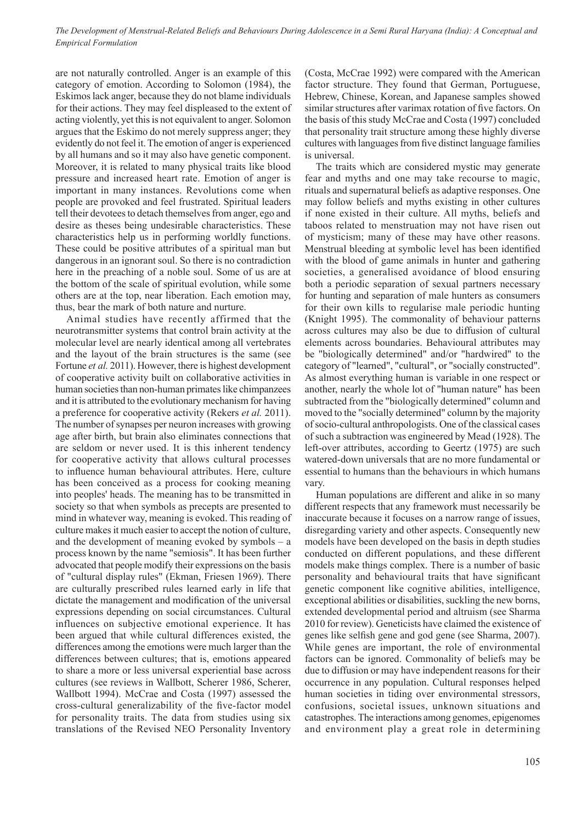are not naturally controlled. Anger is an example of this category of emotion. According to Solomon (1984), the Eskimos lack anger, because they do not blame individuals for their actions. They may feel displeased to the extent of acting violently, yet this is not equivalent to anger. Solomon argues that the Eskimo do not merely suppress anger; they evidently do not feel it. The emotion of anger is experienced by all humans and so it may also have genetic component. Moreover, it is related to many physical traits like blood pressure and increased heart rate. Emotion of anger is important in many instances. Revolutions come when people are provoked and feel frustrated. Spiritual leaders tell their devotees to detach themselves from anger, ego and desire as theses being undesirable characteristics. These characteristics help us in performing worldly functions. These could be positive attributes of a spiritual man but dangerous in an ignorant soul. So there is no contradiction here in the preaching of a noble soul. Some of us are at the bottom of the scale of spiritual evolution, while some others are at the top, near liberation. Each emotion may, thus, bear the mark of both nature and nurture.

Animal studies have recently affirmed that the neurotransmitter systems that control brain activity at the molecular level are nearly identical among all vertebrates and the layout of the brain structures is the same (see Fortune *et al.* 2011). However, there is highest development of cooperative activity built on collaborative activities in human societies than non-human primates like chimpanzees and it is attributed to the evolutionary mechanism for having a preference for cooperative activity (Rekers *et al.* 2011). The number of synapses per neuron increases with growing age after birth, but brain also eliminates connections that are seldom or never used. It is this inherent tendency for cooperative activity that allows cultural processes to influence human behavioural attributes. Here, culture has been conceived as a process for cooking meaning into peoples' heads. The meaning has to be transmitted in society so that when symbols as precepts are presented to mind in whatever way, meaning is evoked. This reading of culture makes it much easier to accept the notion of culture, and the development of meaning evoked by symbols – a process known by the name "semiosis". It has been further advocated that people modify their expressions on the basis of "cultural display rules" (Ekman, Friesen 1969). There are culturally prescribed rules learned early in life that dictate the management and modification of the universal expressions depending on social circumstances. Cultural influences on subjective emotional experience. It has been argued that while cultural differences existed, the differences among the emotions were much larger than the differences between cultures; that is, emotions appeared to share a more or less universal experiential base across cultures (see reviews in Wallbott, Scherer 1986, Scherer, Wallbott 1994). McCrae and Costa (1997) assessed the cross-cultural generalizability of the five-factor model for personality traits. The data from studies using six translations of the Revised NEO Personality Inventory

(Costa, McCrae 1992) were compared with the American factor structure. They found that German, Portuguese, Hebrew, Chinese, Korean, and Japanese samples showed similar structures after varimax rotation of five factors. On the basis of this study McCrae and Costa (1997) concluded that personality trait structure among these highly diverse cultures with languages from five distinct language families is universal.

The traits which are considered mystic may generate fear and myths and one may take recourse to magic, rituals and supernatural beliefs as adaptive responses. One may follow beliefs and myths existing in other cultures if none existed in their culture. All myths, beliefs and taboos related to menstruation may not have risen out of mysticism; many of these may have other reasons. Menstrual bleeding at symbolic level has been identified with the blood of game animals in hunter and gathering societies, a generalised avoidance of blood ensuring both a periodic separation of sexual partners necessary for hunting and separation of male hunters as consumers for their own kills to regularise male periodic hunting (Knight 1995). The commonality of behaviour patterns across cultures may also be due to diffusion of cultural elements across boundaries. Behavioural attributes may be "biologically determined" and/or "hardwired" to the category of "learned", "cultural", or "socially constructed". As almost everything human is variable in one respect or another, nearly the whole lot of "human nature" has been subtracted from the "biologically determined" column and moved to the "socially determined" column by the majority of socio-cultural anthropologists. One of the classical cases of such a subtraction was engineered by Mead (1928). The left-over attributes, according to Geertz (1975) are such watered-down universals that are no more fundamental or essential to humans than the behaviours in which humans vary.

Human populations are different and alike in so many different respects that any framework must necessarily be inaccurate because it focuses on a narrow range of issues, disregarding variety and other aspects. Consequently new models have been developed on the basis in depth studies conducted on different populations, and these different models make things complex. There is a number of basic personality and behavioural traits that have significant genetic component like cognitive abilities, intelligence, exceptional abilities or disabilities, suckling the new borns, extended developmental period and altruism (see Sharma 2010 for review). Geneticists have claimed the existence of genes like selfish gene and god gene (see Sharma, 2007). While genes are important, the role of environmental factors can be ignored. Commonality of beliefs may be due to diffusion or may have independent reasons for their occurrence in any population. Cultural responses helped human societies in tiding over environmental stressors, confusions, societal issues, unknown situations and catastrophes. The interactions among genomes, epigenomes and environment play a great role in determining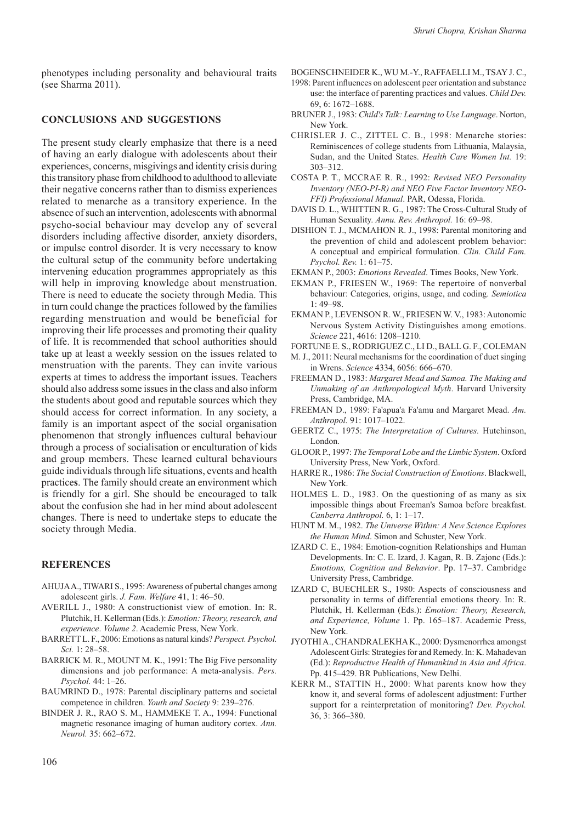phenotypes including personality and behavioural traits (see Sharma 2011).

#### **CONCLUSIONS AND SUGGESTIONS**

The present study clearly emphasize that there is a need of having an early dialogue with adolescents about their experiences, concerns, misgivings and identity crisis during this transitory phase from childhood to adulthood to alleviate their negative concerns rather than to dismiss experiences related to menarche as a transitory experience. In the absence of such an intervention, adolescents with abnormal psycho-social behaviour may develop any of several disorders including affective disorder, anxiety disorders, or impulse control disorder. It is very necessary to know the cultural setup of the community before undertaking intervening education programmes appropriately as this will help in improving knowledge about menstruation. There is need to educate the society through Media. This in turn could change the practices followed by the families regarding menstruation and would be beneficial for improving their life processes and promoting their quality of life. It is recommended that school authorities should take up at least a weekly session on the issues related to menstruation with the parents. They can invite various experts at times to address the important issues. Teachers should also address some issues in the class and also inform the students about good and reputable sources which they should access for correct information. In any society, a family is an important aspect of the social organisation phenomenon that strongly influences cultural behaviour through a process of socialisation or enculturation of kids and group members. These learned cultural behaviours guide individuals through life situations, events and health practice**s**. The family should create an environment which is friendly for a girl. She should be encouraged to talk about the confusion she had in her mind about adolescent changes. There is need to undertake steps to educate the society through Media.

# **REFERENCES**

- AHUJA A., TIWARI S., 1995: Awareness of pubertal changes among adolescent girls. *J. Fam. Welfare* 41, 1: 46–50.
- AVERILL J., 1980: A constructionist view of emotion. In: R. Plutchik, H. Kellerman (Eds.): *Emotion: Theory, research, and experience*. *Volume 2*. Academic Press, New York.
- BARRETT L. F., 2006: Emotions as natural kinds? *Perspect. Psychol. Sci.* 1: 28–58.
- BARRICK M. R., MOUNT M. K., 1991: The Big Five personality dimensions and job performance: A meta-analysis. *Pers. Psychol.* 44: 1–26.
- BAUMRIND D., 1978: Parental disciplinary patterns and societal competence in children. *Youth and Society* 9: 239–276.
- BINDER J. R., RAO S. M., HAMMEKE T. A., 1994: Functional magnetic resonance imaging of human auditory cortex. *Ann. Neurol.* 35: 662–672.

BOGENSCHNEIDER K., WU M.-Y., RAFFAELLI M., TSAY J. C.,

- 1998: Parent influences on adolescent peer orientation and substance use: the interface of parenting practices and values. *Child Dev.* 69, 6: 1672–1688.
- BRUNER J., 1983: *Child's Talk: Learning to Use Language*. Norton, New York.
- CHRISLER J. C., ZITTEL C. B., 1998: Menarche stories: Reminiscences of college students from Lithuania, Malaysia, Sudan, and the United States. *Health Care Women Int.* 19: 303–312.
- COSTA P. T., MCCRAE R. R., 1992: *Revised NEO Personality Inventory (NEO-PI-R) and NEO Five Factor Inventory NEO-FFI) Professional Manual*. PAR, Odessa, Florida.
- DAVIS D. L., WHITTEN R. G., 1987: The Cross-Cultural Study of Human Sexuality. *Annu. Rev. Anthropol.* 16: 69–98.
- DISHION T. J., MCMAHON R. J., 1998: Parental monitoring and the prevention of child and adolescent problem behavior: A conceptual and empirical formulation. *Clin. Child Fam. Psychol. Rev.* 1: 61–75.
- EKMAN P., 2003: *Emotions Revealed*. Times Books, New York.
- EKMAN P., FRIESEN W., 1969: The repertoire of nonverbal behaviour: Categories, origins, usage, and coding. *Semiotica* 1: 49–98.
- EKMAN P., LEVENSON R. W., FRIESEN W. V., 1983: Autonomic Nervous System Activity Distinguishes among emotions. *Science* 221, 4616: 1208–1210.
- FORTUNE E. S., RODRIGUEZ C., LI D., BALL G. F., COLEMAN
- M. J., 2011: Neural mechanisms for the coordination of duet singing in Wrens. *Science* 4334, 6056: 666–670.
- FREEMAN D., 1983: *Margaret Mead and Samoa. The Making and Unmaking of an Anthropological Myth*. Harvard University Press, Cambridge, MA.
- FREEMAN D., 1989: Fa'apua'a Fa'amu and Margaret Mead. *Am. Anthropol.* 91: 1017–1022.
- GEERTZ C., 1975: *The Interpretation of Cultures.* Hutchinson, London.
- GLOOR P., 1997: *The Temporal Lobe and the Limbic System*. Oxford University Press, New York, Oxford.
- HARRE R., 1986: *The Social Construction of Emotions*. Blackwell, New York.
- HOLMES L. D., 1983. On the questioning of as many as six impossible things about Freeman's Samoa before breakfast. *Canberra Anthropol.* 6, 1: 1–17.
- HUNT M. M., 1982. *The Universe Within: A New Science Explores the Human Mind*. Simon and Schuster, New York.
- IZARD C. E., 1984: Emotion-cognition Relationships and Human Developments. In: C. E. Izard, J. Kagan, R. B. Zajonc (Eds.): *Emotions, Cognition and Behavior*. Pp. 17–37. Cambridge University Press, Cambridge.
- IZARD C, BUECHLER S., 1980: Aspects of consciousness and personality in terms of differential emotions theory. In: R. Plutchik, H. Kellerman (Eds.): *Emotion: Theory, Research, and Experience, Volume* 1. Pp. 165–187. Academic Press, New York.
- JYOTHI A., CHANDRALEKHA K., 2000: Dysmenorrhea amongst Adolescent Girls: Strategies for and Remedy. In: K. Mahadevan (Ed.): *Reproductive Health of Humankind in Asia and Africa*. Pp. 415–429. BR Publications, New Delhi.
- KERR M., STATTIN H., 2000: What parents know how they know it, and several forms of adolescent adjustment: Further support for a reinterpretation of monitoring? *Dev. Psychol.* 36, 3: 366–380.